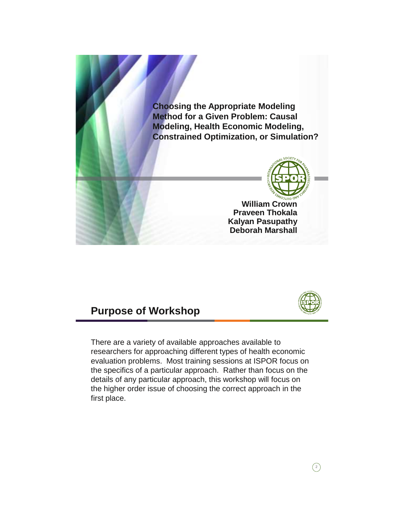

### **Purpose of Workshop**



 $\bigcirc$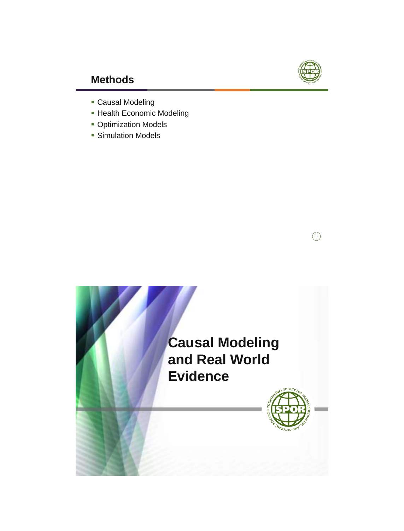

## **Methods**

- Causal Modeling
- Health Economic Modeling
- **Optimization Models**
- **Simulation Models**

 $\odot$ 

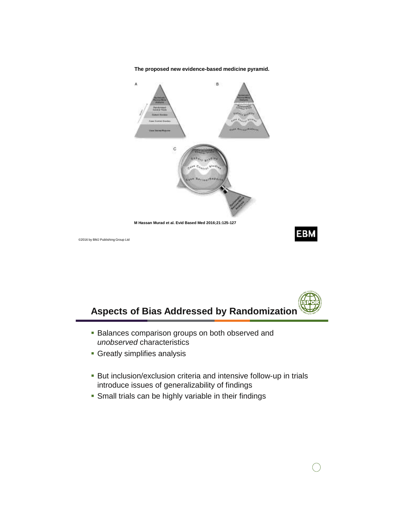



©2016 by BMJ Publishing Group Ltd



- **Balances comparison groups on both observed and** *unobserved* characteristics
- Greatly simplifies analysis
- But inclusion/exclusion criteria and intensive follow-up in trials introduce issues of generalizability of findings
- **Small trials can be highly variable in their findings**



**EBM**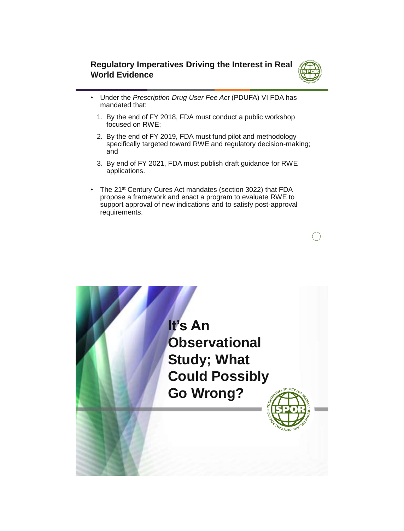### **Regulatory Imperatives Driving the Interest in Real World Evidence**



- Under the *Prescription Drug User Fee Act* (PDUFA) VI FDA has mandated that:
	- 1. By the end of FY 2018, FDA must conduct a public workshop focused on RWE;
	- 2. By the end of FY 2019, FDA must fund pilot and methodology specifically targeted toward RWE and regulatory decision-making; and
	- 3. By end of FY 2021, FDA must publish draft guidance for RWE applications.
- The 21<sup>st</sup> Century Cures Act mandates (section 3022) that FDA propose a framework and enact a program to evaluate RWE to support approval of new indications and to satisfy post-approval requirements.

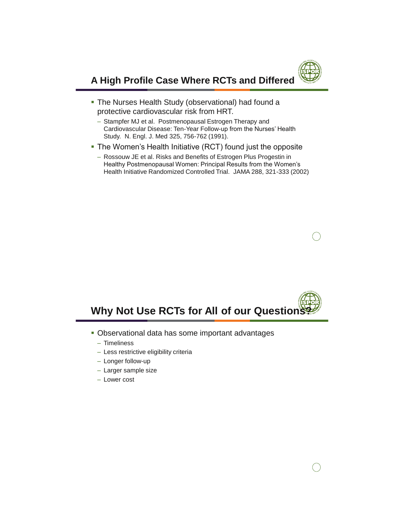

### **A High Profile Case Where RCTs and Differed**

- **The Nurses Health Study (observational) had found a** protective cardiovascular risk from HRT.
	- Stampfer MJ et al. Postmenopausal Estrogen Therapy and Cardiovascular Disease: Ten-Year Follow-up from the Nurses' Health Study. N. Engl. J. Med 325, 756-762 (1991).
- The Women's Health Initiative (RCT) found just the opposite
	- Rossouw JE et al. Risks and Benefits of Estrogen Plus Progestin in Healthy Postmenopausal Women: Principal Results from the Women's Health Initiative Randomized Controlled Trial. JAMA 288, 321-333 (2002)



- Observational data has some important advantages
	- Timeliness
	- Less restrictive eligibility criteria
	- Longer follow-up
	- Larger sample size
	- Lower cost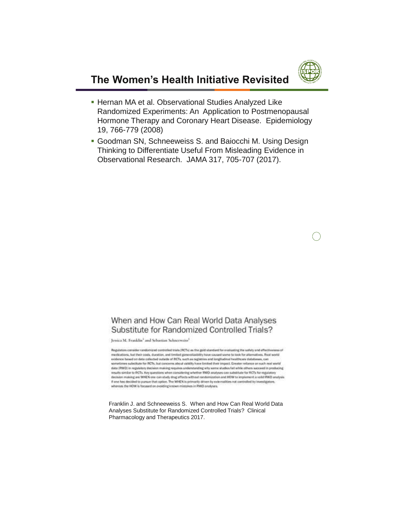

### **The Women's Health Initiative Revisited**

- **Hernan MA et al. Observational Studies Analyzed Like** Randomized Experiments: An Application to Postmenopausal Hormone Therapy and Coronary Heart Disease. Epidemiology 19, 766-779 (2008)
- Goodman SN, Schneeweiss S. and Baiocchi M. Using Design Thinking to Differentiate Useful From Misleading Evidence in Observational Research. JAMA 317, 705-707 (2017).

### When and How Can Real World Data Analyses Substitute for Randomized Controlled Trials?

Jessica M. Franklin<sup>1</sup> and Sebastian Schneeweiss<sup>1</sup>

Regulators consider randomized controlled trials (RCTs) as the gold standard for evaluating the safety and effectiveness of medications, but their costs, duration, and limited generalizability have caused some to look for attenuatives. Real world evidence based on data collected outside of RCTs, such as registries and longitudinal healthcare databases, can sometimes substitute for RCTs, but concerns about validity have limited their impact. Greater relance on such real world data (RWD) in regulatory decision making requires understanding why some studies fall while others succeed in producing results similar to RCTs. Hey questions when considering whether RWD analyses can substitute for RCTs for regulatory<br>decision making are WHEN one can study drug effects without randomization and HDW to implement a volid RWD If one has decided to pursue that option. The WHEN is primarily driven by externalities not controlled by investigation respectively.

Franklin J. and Schneeweiss S. When and How Can Real World Data Analyses Substitute for Randomized Controlled Trials? Clinical Pharmacology and Therapeutics 2017.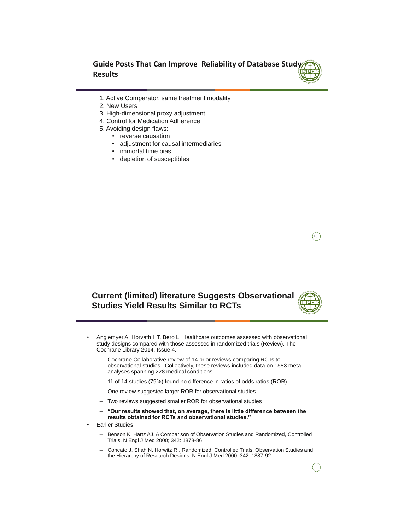**Guide Posts That Can Improve Reliability of Database Study Results**

- 1. Active Comparator, same treatment modality
- 2. New Users
- 3. High-dimensional proxy adjustment
- 4. Control for Medication Adherence
- 5. Avoiding design flaws:
	- reverse causation
	- adjustment for causal intermediaries
	- immortal time bias
	- depletion of susceptibles

### **Current (limited) literature Suggests Observational Studies Yield Results Similar to RCTs**

- Anglemyer A, Horvath HT, Bero L. Healthcare outcomes assessed with observational study designs compared with those assessed in randomized trials (Review). The Cochrane Library 2014, Issue 4.
	- Cochrane Collaborative review of 14 prior reviews comparing RCTs to observational studies. Collectively, these reviews included data on 1583 meta analyses spanning 228 medical conditions.
	- 11 of 14 studies (79%) found no difference in ratios of odds ratios (ROR)
	- One review suggested larger ROR for observational studies
	- Two reviews suggested smaller ROR for observational studies
	- **"Our results showed that, on average, there is little difference between the results obtained for RCTs and observational studies."**
- **Earlier Studies** 
	- Benson K, Hartz AJ. A Comparison of Observation Studies and Randomized, Controlled Trials. N Engl J Med 2000; 342: 1878-86
	- Concato J, Shah N, Horwitz RI. Randomized, Controlled Trials, Observation Studies and the Hierarchy of Research Designs. N Engl J Med 2000; 342: 1887-92

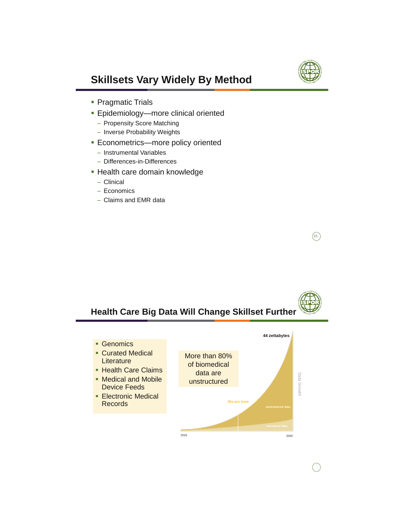

 $\left( \overline{15}\right)$ 

## **Skillsets Vary Widely By Method**

- Pragmatic Trials
- **Epidemiology—more clinical oriented** 
	- Propensity Score Matching
	- Inverse Probability Weights
- **Econometrics—more policy oriented** 
	- Instrumental Variables
	- Differences-in-Differences
- **Health care domain knowledge** 
	- Clinical
	- Economics
	- Claims and EMR data

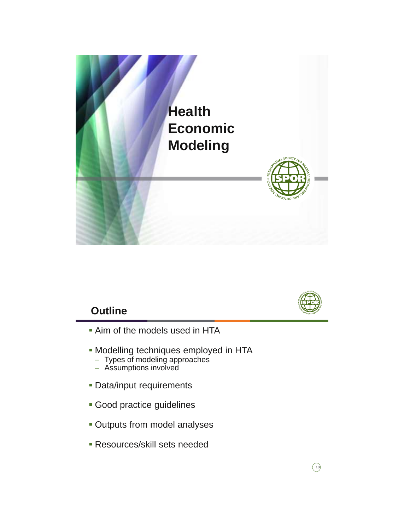



### **Outline**

- **Aim of the models used in HTA**
- **Modelling techniques employed in HTA** 
	- Types of modeling approaches
	- Assumptions involved
- **Data/input requirements**
- **Good practice guidelines**
- **Outputs from model analyses**
- Resources/skill sets needed

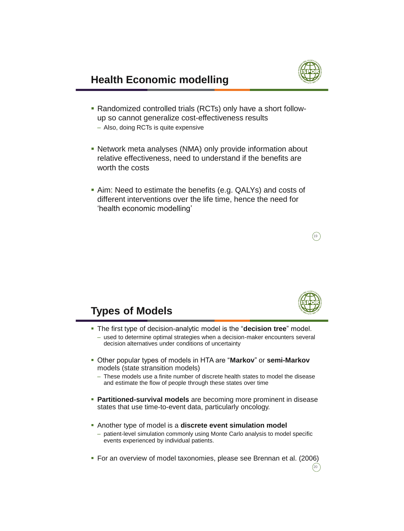

- Randomized controlled trials (RCTs) only have a short followup so cannot generalize cost-effectiveness results
	- Also, doing RCTs is quite expensive
- Network meta analyses (NMA) only provide information about relative effectiveness, need to understand if the benefits are worth the costs
- Aim: Need to estimate the benefits (e.g. QALYs) and costs of different interventions over the life time, hence the need for 'health economic modelling'





 $^{20}$ 

### **Types of Models**

- The first type of decision-analytic model is the "**decision tree**" model.
	- used to determine optimal strategies when a decision-maker encounters several decision alternatives under conditions of uncertainty
- Other popular types of models in HTA are "**Markov**" or **semi-Markov** models (state stransition models)
	- These models use a finite number of discrete health states to model the disease and estimate the flow of people through these states over time
- **Partitioned-survival models** are becoming more prominent in disease states that use time-to-event data, particularly oncology.
- Another type of model is a **discrete event simulation model** 
	- patient-level simulation commonly using Monte Carlo analysis to model specific events experienced by individual patients.
- For an overview of model taxonomies, please see Brennan et al. (2006)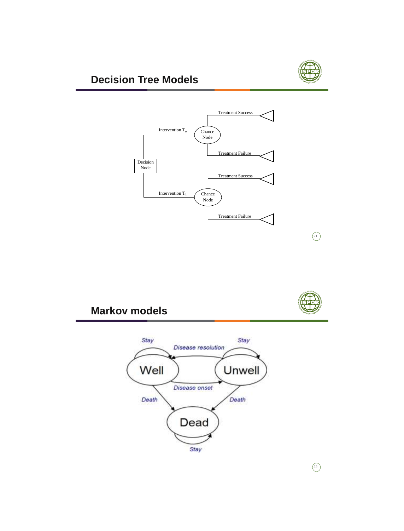

## **Decision Tree Models**





 $\circled{21}$ 

### **Markov models**



 $\circled{22}$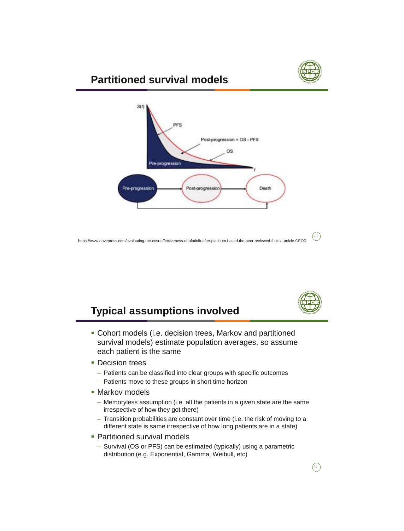

### **Partitioned survival models**



https://www.dovepress.com/evaluating-the-cost-effectiveness-of-afatinib-after-platinum-based-the-peer-reviewed-fulltext-article-CEOR



 $(23)$ 

### **Typical assumptions involved**

- Cohort models (i.e. decision trees, Markov and partitioned survival models) estimate population averages, so assume each patient is the same
- **Decision trees** 
	- Patients can be classified into clear groups with specific outcomes
	- Patients move to these groups in short time horizon
- **Markov models** 
	- Memoryless assumption (i.e. all the patients in a given state are the same irrespective of how they got there)
	- Transition probabilities are constant over time (i.e. the risk of moving to a different state is same irrespective of how long patients are in a state)
- Partitioned survival models
	- Survival (OS or PFS) can be estimated (typically) using a parametric distribution (e.g. Exponential, Gamma, Weibull, etc)

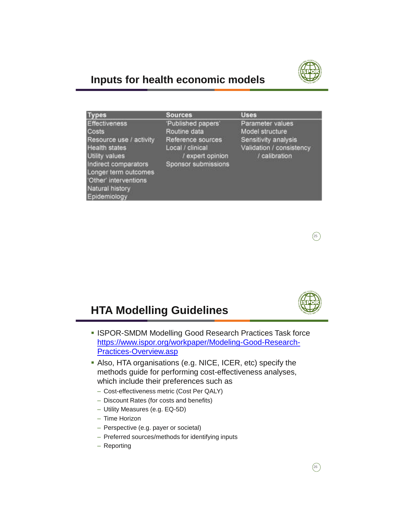

### **Inputs for health economic models**

| <b>Types</b>                                                                                                                                                                                                          | <b>Sources</b>                                                                                                         | <b>Uses</b>                                                                                              |
|-----------------------------------------------------------------------------------------------------------------------------------------------------------------------------------------------------------------------|------------------------------------------------------------------------------------------------------------------------|----------------------------------------------------------------------------------------------------------|
| <b>Effectiveness</b><br><b>Costs</b><br>Resource use / activity<br><b>Health states</b><br>Utility values<br>Indirect comparators<br>Longer term outcomes<br>'Other' interventions<br>Natural history<br>Epidemiology | 'Published papers'<br>Routine data<br>Reference sources<br>Local / clinical<br>/ expert opinion<br>Sponsor submissions | Parameter values<br>Model structure<br>Sensitivity analysis<br>Validation / consistency<br>/ calibration |



### **HTA Modelling Guidelines**

- **ISPOR-SMDM Modelling Good Research Practices Task force** [https://www.ispor.org/workpaper/Modeling-Good-Research-](https://www.ispor.org/workpaper/Modeling-Good-Research-Practices-Overview.asp)Practices-Overview.asp
- Also, HTA organisations (e.g. NICE, ICER, etc) specify the methods guide for performing cost-effectiveness analyses, which include their preferences such as
	- Cost-effectiveness metric (Cost Per QALY)
	- Discount Rates (for costs and benefits)
	- Utility Measures (e.g. EQ-5D)
	- Time Horizon
	- Perspective (e.g. payer or societal)
	- Preferred sources/methods for identifying inputs
	- Reporting

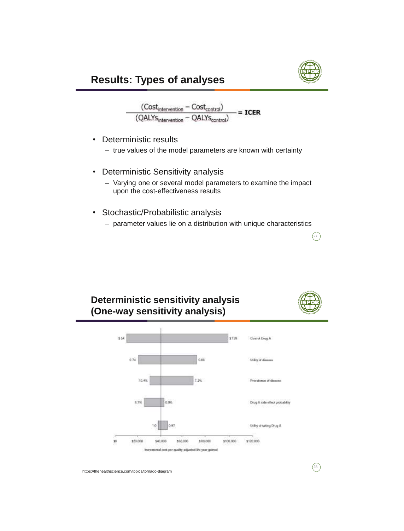

$$
\frac{(Cost_{intervation} - Cost_{control})}{( QALYS_{intevention} - QALYS_{control})} = \text{ICER}
$$

- Deterministic results
	- true values of the model parameters are known with certainty
- Deterministic Sensitivity analysis
	- Varying one or several model parameters to examine the impact upon the cost-effectiveness results
- Stochastic/Probabilistic analysis
	- parameter values lie on a distribution with unique characteristics

### **Deterministic sensitivity analysis (One-way sensitivity analysis)**



 $\left(27\right)$ 

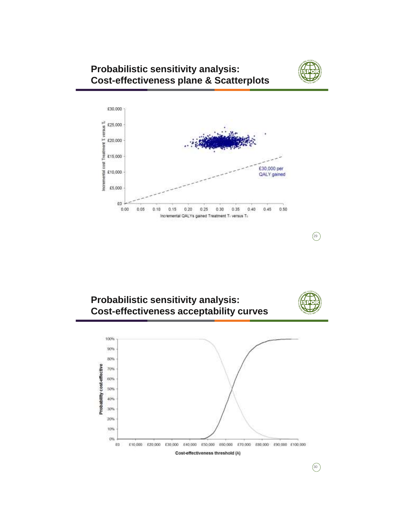

 $(29)$ 

### **Probabilistic sensitivity analysis: Cost-effectiveness plane & Scatterplots**



**Probabilistic sensitivity analysis: Cost-effectiveness acceptability curves**



 $\circledcirc$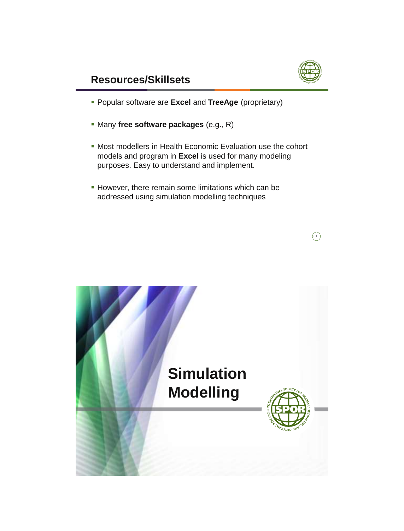

### **Resources/Skillsets**

- Popular software are **Excel** and **TreeAge** (proprietary)
- Many **free software packages** (e.g., R)
- Most modellers in Health Economic Evaluation use the cohort models and program in **Excel** is used for many modeling purposes. Easy to understand and implement.
- **However, there remain some limitations which can be** addressed using simulation modelling techniques



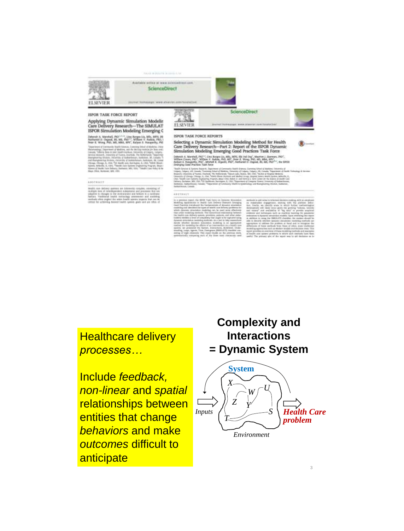and middle is in





**ELSEVIER** 

Applying Dynamic Simulation Modelin<br>Care Delivery Research---The SIMULAT<br>ISPOR Simulation Modeling Emerging G

N. Alasshaft, Phil<sup>5133</sup>, Line Rarges-Uk, MSc, M.<br>51 S. (Ingaal, H., MS, Pal)<sup>12</sup>, William V. Patiala.<br>Wong, Pitl, MS, MSA, KNV, Kalyan S. Pangori

#### \*\*\*\*\*\*\*\*

nois ian adiscr sprins an



#### ISPOR TASK FORCE REPORTS

# Selecting a Dynamic Simulation Modeling Method for Health<br>Care Delivery Research—Part 2: Report of the ISPOR Dynamic<br>Simulation Modeling Emerging Good Practices Task Force

rch A. Marshall, PhD<sup>10</sup>, Lina Rorgeo-Liz, MSc.<br>arc Crears, PhD<sup>1</sup>, William V. Padule, PhD, MS MIN, BSc Ind Co. L. IND<sup>1</sup>

#### $1 + 1 + 1 + 1$

33

**Posit Accord Enteractions Causes** *processes…*

*Health Care problem non-linear* and *spatial* **Effection**<br> **Entities that change** Include *feedback,*  relationships between *behaviors* and make *outcomes* difficult to anticipate

### **Complexity and Interactions = Dynamic System**



3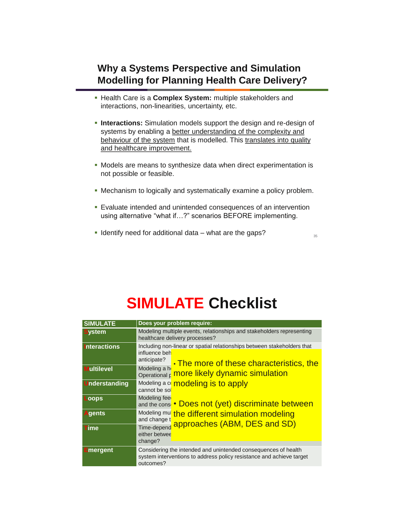### **Why a Systems Perspective and Simulation Modelling for Planning Health Care Delivery?**

- Health Care is a **Complex System:** multiple stakeholders and interactions, non-linearities, uncertainty, etc.
- **Interactions:** Simulation models support the design and re-design of systems by enabling a better understanding of the complexity and behaviour of the system that is modelled. This translates into quality and healthcare improvement.
- Models are means to synthesize data when direct experimentation is not possible or feasible.
- Mechanism to logically and systematically examine a policy problem.
- Evaluate intended and unintended consequences of an intervention using alternative "what if…?" scenarios BEFORE implementing.
- Identify need for additional data what are the gaps?

# **SIMULATE Checklist**

| <b>SIMULATE</b>      | Does your problem require:                                                                                                                          |  |  |
|----------------------|-----------------------------------------------------------------------------------------------------------------------------------------------------|--|--|
| <b>System</b>        | Modeling multiple events, relationships and stakeholders representing<br>healthcare delivery processes?                                             |  |  |
| <b>Interactions</b>  | Including non-linear or spatial relationships between stakeholders that<br>influence beh<br>anticipate?<br>• The more of these characteristics, the |  |  |
| <b>Multilevel</b>    | Modeling a h<br>more likely dynamic simulation<br>Operational p                                                                                     |  |  |
| <b>Understanding</b> | modeling is to apply<br>Modeling a co<br>cannot be so                                                                                               |  |  |
| Loops                | Modeling fee<br>and the cons . Does not (yet) discriminate between                                                                                  |  |  |
| <b>Agents</b>        | Modeling mu<br>the different simulation modeling<br>and change t<br>approaches (ABM, DES and SD)                                                    |  |  |
| $\blacksquare$ ime   | Time-depend<br>either betwee<br>change?                                                                                                             |  |  |
| $\equiv$ mergent     | Considering the intended and unintended consequences of health<br>system interventions to address policy resistance and achieve target<br>outcomes? |  |  |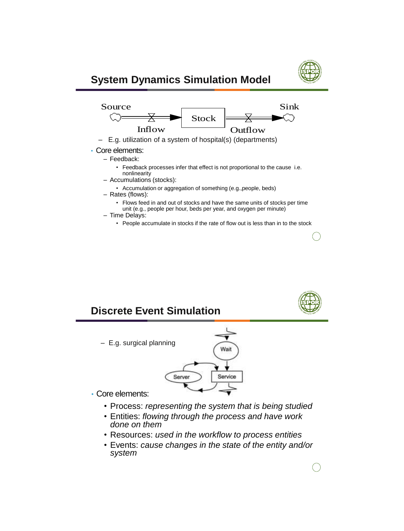

### **System Dynamics Simulation Model**



- E.g. utilization of a system of hospital(s) (departments)
- Core elements:
	- Feedback:
		- Feedback processes infer that effect is not proportional to the cause i.e. nonlinearity
	- Accumulations (stocks):
		- Accumulation or aggregation of something (e.g.,people, beds)
	- Rates (flows):
		- Flows feed in and out of stocks and have the same units of stocks per time unit (e.g., people per hour, beds per year, and oxygen per minute)
	- Time Delays:
		- People accumulate in stocks if the rate of flow out is less than in to the stock

# **Discrete Event Simulation**  $-$  E.g. surgical planning processes  $\left($  Wait $\right)$  $\sim$  Core assumption:  $\sim$  1.0  $\sim$  2.1  $\sim$  2.1  $\sim$  2.1  $\sim$  2.1  $\sim$  2.1  $\sim$  2.1  $\sim$  2.1  $\sim$  2.1  $\sim$  2.1  $\sim$  2.1  $\sim$  2.1  $\sim$  2.1  $\sim$  2.1  $\sim$  2.1  $\sim$  2.1  $\sim$  2.1  $\sim$  2.1  $\sim$  2.1  $\sim$  2.1  $\sim$  2.1  $\sim$  2.1  $\frac{1}{2}$  convert and constraints  $\frac{1}{2}$ • Core elements:

- Process: *representing the system that is being studied*
- Entities: *flowing through the process and have work done on them*
- Resources: *used in the workflow to process entities*
- Events: *cause changes in the state of the entity and/or system*

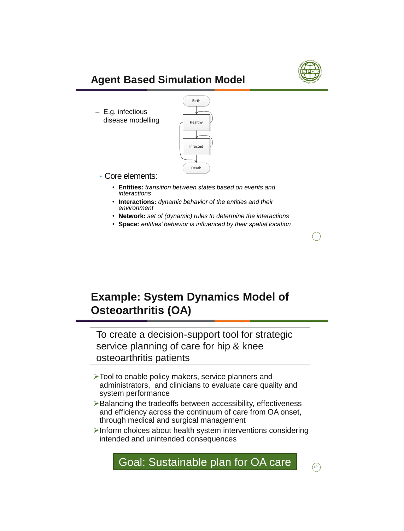

## **Agent Based Simulation Model**

 $-$  E.g. infectious in a dynamic system of  $\Box$ disease modelling  $\int_{\text{Healthy}}$ 



- Core elements:
	- **Entities:** *transition between states based on events and interactions*
	- **Interactions:** *dynamic behavior of the entities and their environment*
	- **Network:** *set of (dynamic) rules to determine the interactions*
	- **Space:** *entities' behavior is influenced by their spatial location*

## **Example: System Dynamics Model of Osteoarthritis (OA)**

To create a decision-support tool for strategic service planning of care for hip & knee osteoarthritis patients

- >Tool to enable policy makers, service planners and administrators, and clinicians to evaluate care quality and system performance
- $\triangleright$  Balancing the tradeoffs between accessibility, effectiveness and efficiency across the continuum of care from OA onset, through medical and surgical management
- $\triangleright$  Inform choices about health system interventions considering intended and unintended consequences



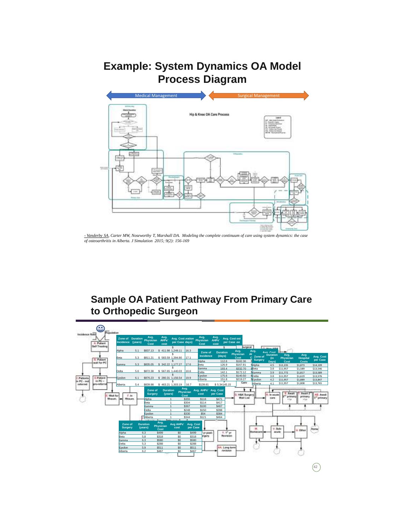## **Example: System Dynamics OA Model Process Diagram**



*- Vanderby SA, Carter MW, Noseworthy T, Marshall DA. Modeling the complete continuum of care using system dynamics: the case of osteoarthritis in Alberta. J Simulation 2015; 9(2): 156-169*

### **Sample OA Patient Pathway From Primary Care to Orthopedic Surgeon**

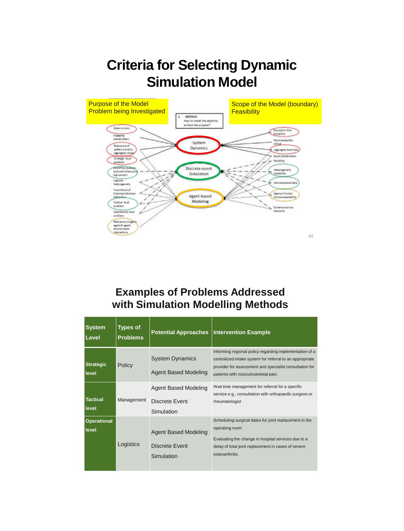## **Criteria for Selecting Dynamic Simulation Model**



### **Examples of Problems Addressed with Simulation Modelling Methods**

| <b>System</b><br>Level                   | <b>Types of</b><br><b>Problems</b> | <b>Potential Approaches</b>                                 | <b>Intervention Example</b>                                                                                                                                                                                           |  |
|------------------------------------------|------------------------------------|-------------------------------------------------------------|-----------------------------------------------------------------------------------------------------------------------------------------------------------------------------------------------------------------------|--|
| <b>Strategic</b><br>level                | Policy                             | <b>System Dynamics</b><br><b>Agent Based Modeling</b>       | Informing regional policy regarding implementation of a<br>centralized intake system for referral to an appropriate<br>provider for assessment and specialist consultation for<br>patients with musculoskeletal pain. |  |
| <b>Tactical</b><br>level                 | Management                         | Agent Based Modeling<br>Discrete Event<br>Simulation        | Wait time management for referral for a specific<br>service e.g., consultation with orthopaedic surgeon or<br>rheumatologist                                                                                          |  |
| <b>Operational</b><br>level<br>Logistics |                                    | <b>Agent Based Modeling</b><br>Discrete Event<br>Simulation | Scheduling surgical dates for joint replacement in the<br>operating room<br>Evaluating the change in hospital services due to a<br>delay of total joint replacement in cases of severe<br>osteoarthritis.             |  |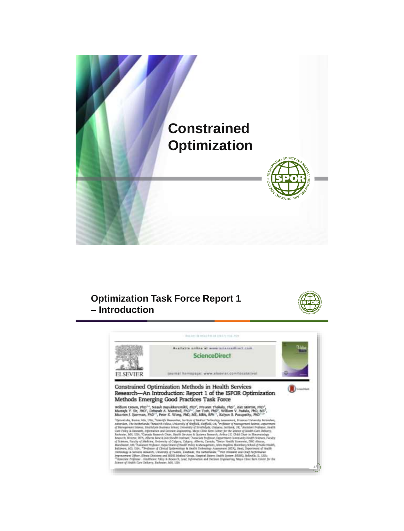

### **Optimization Task Force Report 1 – Introduction**



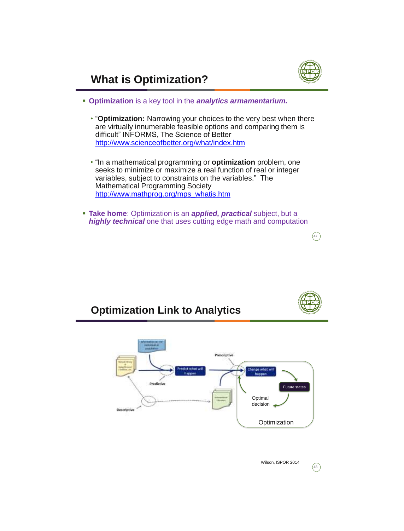

 $\left(\overline{47}\right)$ 

## **What is Optimization?**

- **Optimization** is a key tool in the *analytics armamentarium.*
	- "**Optimization:** Narrowing your choices to the very best when there are virtually innumerable feasible options and comparing them is difficult" INFORMS, The Science of Better <http://www.scienceofbetter.org/what/index.htm>
	- "In a mathematical programming or **optimization** problem, one seeks to minimize or maximize a real function of real or integer variables, subject to constraints on the variables." The Mathematical Programming Society [http://www.mathprog.org/mps\\_whatis.htm](http://www.mathprog.org/mps_whatis.htm)
- **Take home**: Optimization is an *applied, practical* subject, but a *highly technical* one that uses cutting edge math and computation





48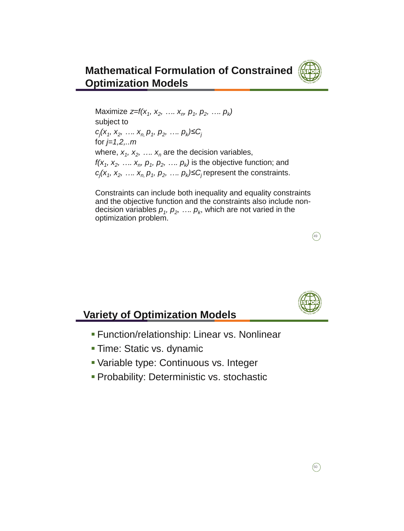

### **Mathematical Formulation of Constrained Optimization Models**

Maximize *z=f(x<sub>1</sub>, x<sub>2</sub>, ..., x<sub>n</sub>, p<sub>1</sub>, p<sub>2</sub>, ..., p<sub>k</sub>)* subject to  $c_j$ ( $x_1, x_2, \ldots, x_n, p_1, p_2, \ldots, p_k$ )≤C<sub>*j*</sub> for *j=1,2,..m* where,  $x_1, x_2, \ldots, x_n$  are the decision variables, *f*( $x_1$ ,  $x_2$ , ...,  $x_n$ ,  $p_1$ ,  $p_2$ , ...,  $p_k$ ) is the objective function; and  $c_j(x_1, x_2, \ldots, x_n, p_1, p_2, \ldots, p_k) \leq C_j$  represent the constraints.

Constraints can include both inequality and equality constraints and the objective function and the constraints also include nondecision variables  $p_1, p_2, ..., p_k$ , which are not varied in the optimization problem.



 $\left( 49\right)$ 

### **Variety of Optimization Models**

- Function/relationship: Linear vs. Nonlinear
- **Time: Static vs. dynamic**
- Variable type: Continuous vs. Integer
- **Probability: Deterministic vs. stochastic**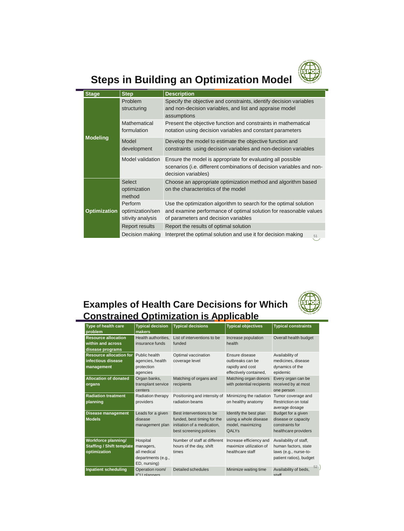

## **Steps in Building an Optimization Model**

| <b>Stage</b> |                     | <b>Step</b>                                      | <b>Description</b>                                                                                                                                                             |  |
|--------------|---------------------|--------------------------------------------------|--------------------------------------------------------------------------------------------------------------------------------------------------------------------------------|--|
|              |                     | Problem<br>structuring                           | Specify the objective and constraints, identify decision variables<br>and non-decision variables, and list and appraise model<br>assumptions                                   |  |
|              |                     | Mathematical<br>formulation                      | Present the objective function and constraints in mathematical<br>notation using decision variables and constant parameters                                                    |  |
|              | <b>Modeling</b>     | Model<br>development                             | Develop the model to estimate the objective function and<br>constraints using decision variables and non-decision variables                                                    |  |
|              |                     | Model validation                                 | Ensure the model is appropriate for evaluating all possible<br>scenarios (i.e. different combinations of decision variables and non-<br>decision variables)                    |  |
|              |                     | Select<br>optimization<br>method                 | Choose an appropriate optimization method and algorithm based<br>on the characteristics of the model                                                                           |  |
|              | <b>Optimization</b> | Perform<br>optimization/sen<br>sitivity analysis | Use the optimization algorithm to search for the optimal solution<br>and examine performance of optimal solution for reasonable values<br>of parameters and decision variables |  |
|              |                     | Report results                                   | Report the results of optimal solution                                                                                                                                         |  |
|              |                     | Decision making                                  | Interpret the optimal solution and use it for decision making<br>51                                                                                                            |  |

### **Examples of Health Care Decisions for Which Constrained Optimization is Applicable**

| Type of health care<br>problem                                          | <b>Typical decision</b><br>makers                                          | <b>Typical decisions</b>                                                                                          | <b>Typical objectives</b>                                                        | <b>Typical constraints</b>                                                                         |
|-------------------------------------------------------------------------|----------------------------------------------------------------------------|-------------------------------------------------------------------------------------------------------------------|----------------------------------------------------------------------------------|----------------------------------------------------------------------------------------------------|
| <b>Resource allocation</b><br>within and across<br>disease programs     | Health authorities.<br>insurance funds                                     | List of interventions to be<br>funded                                                                             | Increase population<br>health                                                    | Overall health budget                                                                              |
| <b>Resource allocation for</b><br>infectious disease<br>management      | Public health<br>agencies, health<br>protection<br>agencies                | Optimal vaccination<br>coverage level                                                                             | Ensure disease<br>outbreaks can be<br>rapidly and cost<br>effectively contained, | Availability of<br>medicines, disease<br>dynamics of the<br>epidemic                               |
| <b>Allocation of donated</b><br>organs                                  | Organ banks,<br>transplant service<br>centers                              | Matching of organs and<br>recipients                                                                              | Matching organ donors<br>with potential recipients                               | Every organ can be<br>received by at most<br>one person                                            |
| <b>Radiation treatment</b><br>planning                                  | Radiation therapy<br>providers                                             | Positioning and intensity of<br>radiation beams                                                                   | Minimizing the radiation<br>on healthy anatomy                                   | Tumor coverage and<br>Restriction on total<br>average dosage                                       |
| <b>Disease management</b><br><b>Models</b>                              | Leads for a given<br>disease<br>management plan                            | Best interventions to be<br>funded, best timing for the<br>initiation of a medication,<br>best screening policies | Identify the best plan<br>using a whole disease<br>model, maximizing<br>QALYS    | Budget for a given<br>disease or capacity<br>constraints for<br>healthcare providers               |
| Workforce planning/<br><b>Staffing / Shift template</b><br>optimization | Hospital<br>managers,<br>all medical<br>departments (e.g.,<br>ED, nursing) | Number of staff at different<br>hours of the day, shift<br>times                                                  | Increase efficiency and<br>maximize utilization of<br>healthcare staff           | Availability of staff,<br>human factors, state<br>laws (e.g., nurse-to-<br>patient ratios), budget |
| <b>Inpatient scheduling</b>                                             | Operation room/<br>ICII planners                                           | Detailed schedules                                                                                                | Minimize waiting time                                                            | 52<br>Availability of beds,<br>staff                                                               |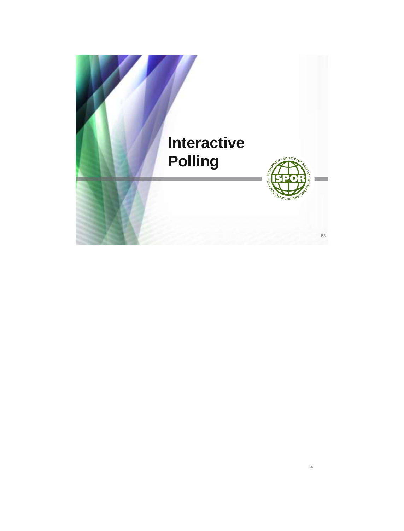